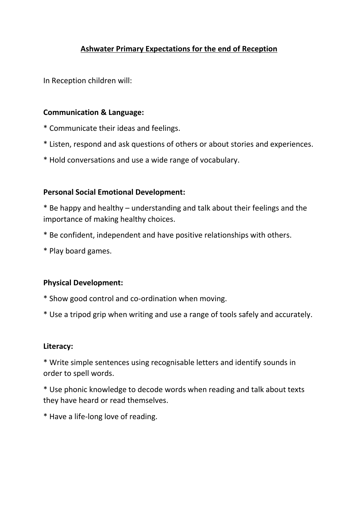# **Ashwater Primary Expectations for the end of Reception**

In Reception children will:

### **Communication & Language:**

- \* Communicate their ideas and feelings.
- \* Listen, respond and ask questions of others or about stories and experiences.
- \* Hold conversations and use a wide range of vocabulary.

### **Personal Social Emotional Development:**

\* Be happy and healthy – understanding and talk about their feelings and the importance of making healthy choices.

- \* Be confident, independent and have positive relationships with others.
- \* Play board games.

#### **Physical Development:**

- \* Show good control and co-ordination when moving.
- \* Use a tripod grip when writing and use a range of tools safely and accurately.

#### **Literacy:**

\* Write simple sentences using recognisable letters and identify sounds in order to spell words.

\* Use phonic knowledge to decode words when reading and talk about texts they have heard or read themselves.

\* Have a life-long love of reading.